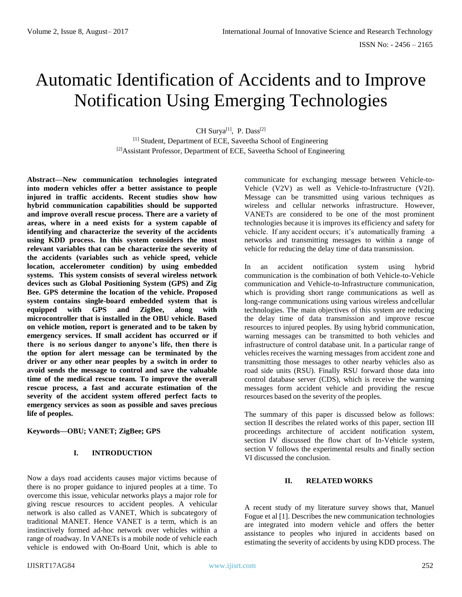# Automatic Identification of Accidents and to Improve Notification Using Emerging Technologies

CH Surya<sup>[1]</sup>, P. Dass<sup>[2]</sup>

[1] Student, Department of ECE, Saveetha School of Engineering [2]Assistant Professor, Department of ECE, Saveetha School of Engineering

**Abstract—New communication technologies integrated into modern vehicles offer a better assistance to people injured in traffic accidents. Recent studies show how hybrid communication capabilities should be supported and improve overall rescue process. There are a variety of areas, where in a need exists for a system capable of identifying and characterize the severity of the accidents using KDD process. In this system considers the most relevant variables that can be characterize the severity of the accidents (variables such as vehicle speed, vehicle location, accelerometer condition) by using embedded systems. This system consists of several wireless network devices such as Global Positioning System (GPS) and Zig Bee. GPS determine the location of the vehicle. Proposed system contains single-board embedded system that is equipped with GPS and ZigBee, along with microcontroller that is installed in the OBU vehicle. Based on vehicle motion, report is generated and to be taken by emergency services. If small accident has occurred or if there is no serious danger to anyone's life, then there is the option for alert message can be terminated by the driver or any other near peoples by a switch in order to avoid sends the message to control and save the valuable time of the medical rescue team. To improve the overall rescue process, a fast and accurate estimation of the severity of the accident system offered perfect facts to emergency services as soon as possible and saves precious life of peoples.**

### **Keywords—OBU; VANET; ZigBee; GPS**

## **I. INTRODUCTION**

Now a days road accidents causes major victims because of there is no proper guidance to injured peoples at a time. To overcome this issue, vehicular networks plays a major role for giving rescue resources to accident peoples. A vehicular network is also called as VANET, Which is subcategory of traditional MANET. Hence VANET is a term, which is an instinctively formed ad-hoc network over vehicles within a range of roadway. In VANETs is a mobile node of vehicle each vehicle is endowed with On-Board Unit, which is able to communicate for exchanging message between Vehicle-to-Vehicle (V2V) as well as Vehicle-to-Infrastructure (V2I). Message can be transmitted using various techniques as wireless and cellular networks infrastructure. However, VANETs are considered to be one of the most prominent technologies because it is improves its efficiency and safety for vehicle. If any accident occurs; it's automatically framing a networks and transmitting messages to within a range of vehicle for reducing the delay time of data transmission.

In an accident notification system using hybrid communication is the combination of both Vehicle-to-Vehicle communication and Vehicle-to-Infrastructure communication, which is providing short range communications as well as long-range communications using various wireless andcellular technologies. The main objectives of this system are reducing the delay time of data transmission and improve rescue resources to injured peoples. By using hybrid communication, warning messages can be transmitted to both vehicles and infrastructure of control database unit. In a particular range of vehicles receives the warning messages from accident zone and transmitting those messages to other nearby vehicles also as road side units (RSU). Finally RSU forward those data into control database server (CDS), which is receive the warning messages form accident vehicle and providing the rescue resources based on the severity of the peoples.

The summary of this paper is discussed below as follows: section II describes the related works of this paper, section III proceedings architecture of accident notification system, section IV discussed the flow chart of In-Vehicle system, section V follows the experimental results and finally section VI discussed the conclusion.

## **II. RELATED WORKS**

A recent study of my literature survey shows that, Manuel Fogue et al [1]. Describes the new communication technologies are integrated into modern vehicle and offers the better assistance to peoples who injured in accidents based on estimating the severity of accidents by using KDD process. The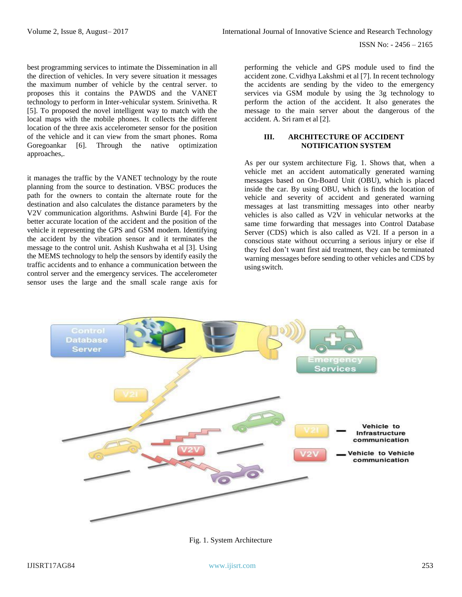best programming services to intimate the Dissemination in all the direction of vehicles. In very severe situation it messages the maximum number of vehicle by the central server. to proposes this it contains the PAWDS and the VANET technology to perform in Inter-vehicular system. Srinivetha. R [5]. To proposed the novel intelligent way to match with the local maps with the mobile phones. It collects the different location of the three axis accelerometer sensor for the position of the vehicle and it can view from the smart phones. Roma Goregoankar [6]. Through the native optimization approaches,.

it manages the traffic by the VANET technology by the route planning from the source to destination. VBSC produces the path for the owners to contain the alternate route for the destination and also calculates the distance parameters by the V2V communication algorithms. Ashwini Burde [4]. For the better accurate location of the accident and the position of the vehicle it representing the GPS and GSM modem. Identifying the accident by the vibration sensor and it terminates the message to the control unit. Ashish Kushwaha et al [3]. Using the MEMS technology to help the sensors by identify easily the traffic accidents and to enhance a communication between the control server and the emergency services. The accelerometer sensor uses the large and the small scale range axis for

performing the vehicle and GPS module used to find the accident zone. C.vidhya Lakshmi et al [7]. In recent technology the accidents are sending by the video to the emergency services via GSM module by using the 3g technology to perform the action of the accident. It also generates the message to the main server about the dangerous of the accident. A. Sri ram et al [2].

## **III. ARCHITECTURE OF ACCIDENT NOTIFICATION SYSTEM**

As per our system architecture Fig. 1. Shows that, when a vehicle met an accident automatically generated warning messages based on On-Board Unit (OBU), which is placed inside the car. By using OBU, which is finds the location of vehicle and severity of accident and generated warning messages at last transmitting messages into other nearby vehicles is also called as V2V in vehicular networks at the same time forwarding that messages into Control Database Server (CDS) which is also called as V2I. If a person in a conscious state without occurring a serious injury or else if they feel don't want first aid treatment, they can be terminated warning messages before sending to other vehicles and CDS by using switch.



Fig. 1. System Architecture